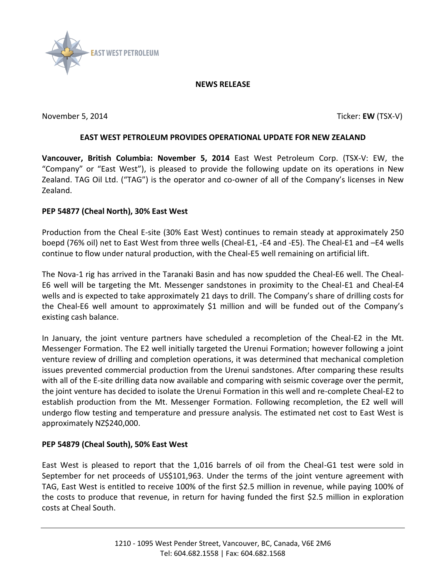

#### **NEWS RELEASE**

November 5, 2014 Ticker: **EW** (TSX-V)

## **EAST WEST PETROLEUM PROVIDES OPERATIONAL UPDATE FOR NEW ZEALAND**

**Vancouver, British Columbia: November 5, 2014** East West Petroleum Corp. (TSX-V: EW, the "Company" or "East West"), is pleased to provide the following update on its operations in New Zealand. TAG Oil Ltd. ("TAG") is the operator and co-owner of all of the Company's licenses in New Zealand.

### **PEP 54877 (Cheal North), 30% East West**

Production from the Cheal E-site (30% East West) continues to remain steady at approximately 250 boepd (76% oil) net to East West from three wells (Cheal-E1, -E4 and -E5). The Cheal-E1 and –E4 wells continue to flow under natural production, with the Cheal-E5 well remaining on artificial lift.

The Nova-1 rig has arrived in the Taranaki Basin and has now spudded the Cheal-E6 well. The Cheal-E6 well will be targeting the Mt. Messenger sandstones in proximity to the Cheal-E1 and Cheal-E4 wells and is expected to take approximately 21 days to drill. The Company's share of drilling costs for the Cheal-E6 well amount to approximately \$1 million and will be funded out of the Company's existing cash balance.

In January, the joint venture partners have scheduled a recompletion of the Cheal-E2 in the Mt. Messenger Formation. The E2 well initially targeted the Urenui Formation; however following a joint venture review of drilling and completion operations, it was determined that mechanical completion issues prevented commercial production from the Urenui sandstones. After comparing these results with all of the E-site drilling data now available and comparing with seismic coverage over the permit, the joint venture has decided to isolate the Urenui Formation in this well and re-complete Cheal-E2 to establish production from the Mt. Messenger Formation. Following recompletion, the E2 well will undergo flow testing and temperature and pressure analysis. The estimated net cost to East West is approximately NZ\$240,000.

# **PEP 54879 (Cheal South), 50% East West**

East West is pleased to report that the 1,016 barrels of oil from the Cheal-G1 test were sold in September for net proceeds of US\$101,963. Under the terms of the joint venture agreement with TAG, East West is entitled to receive 100% of the first \$2.5 million in revenue, while paying 100% of the costs to produce that revenue, in return for having funded the first \$2.5 million in exploration costs at Cheal South.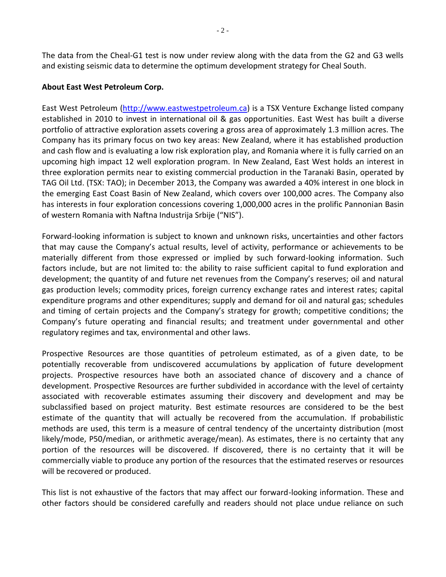The data from the Cheal-G1 test is now under review along with the data from the G2 and G3 wells and existing seismic data to determine the optimum development strategy for Cheal South.

### **About East West Petroleum Corp.**

East West Petroleum [\(http://www.eastwestpetroleum.ca\)](http://www.eastwestpetroleum.ca/) is a TSX Venture Exchange listed company established in 2010 to invest in international oil & gas opportunities. East West has built a diverse portfolio of attractive exploration assets covering a gross area of approximately 1.3 million acres. The Company has its primary focus on two key areas: New Zealand, where it has established production and cash flow and is evaluating a low risk exploration play, and Romania where it is fully carried on an upcoming high impact 12 well exploration program. In New Zealand, East West holds an interest in three exploration permits near to existing commercial production in the Taranaki Basin, operated by TAG Oil Ltd. (TSX: TAO); in December 2013, the Company was awarded a 40% interest in one block in the emerging East Coast Basin of New Zealand, which covers over 100,000 acres. The Company also has interests in four exploration concessions covering 1,000,000 acres in the prolific Pannonian Basin of western Romania with Naftna Industrija Srbije ("NIS").

Forward-looking information is subject to known and unknown risks, uncertainties and other factors that may cause the Company's actual results, level of activity, performance or achievements to be materially different from those expressed or implied by such forward-looking information. Such factors include, but are not limited to: the ability to raise sufficient capital to fund exploration and development; the quantity of and future net revenues from the Company's reserves; oil and natural gas production levels; commodity prices, foreign currency exchange rates and interest rates; capital expenditure programs and other expenditures; supply and demand for oil and natural gas; schedules and timing of certain projects and the Company's strategy for growth; competitive conditions; the Company's future operating and financial results; and treatment under governmental and other regulatory regimes and tax, environmental and other laws.

Prospective Resources are those quantities of petroleum estimated, as of a given date, to be potentially recoverable from undiscovered accumulations by application of future development projects. Prospective resources have both an associated chance of discovery and a chance of development. Prospective Resources are further subdivided in accordance with the level of certainty associated with recoverable estimates assuming their discovery and development and may be subclassified based on project maturity. Best estimate resources are considered to be the best estimate of the quantity that will actually be recovered from the accumulation. If probabilistic methods are used, this term is a measure of central tendency of the uncertainty distribution (most likely/mode, P50/median, or arithmetic average/mean). As estimates, there is no certainty that any portion of the resources will be discovered. If discovered, there is no certainty that it will be commercially viable to produce any portion of the resources that the estimated reserves or resources will be recovered or produced.

This list is not exhaustive of the factors that may affect our forward-looking information. These and other factors should be considered carefully and readers should not place undue reliance on such